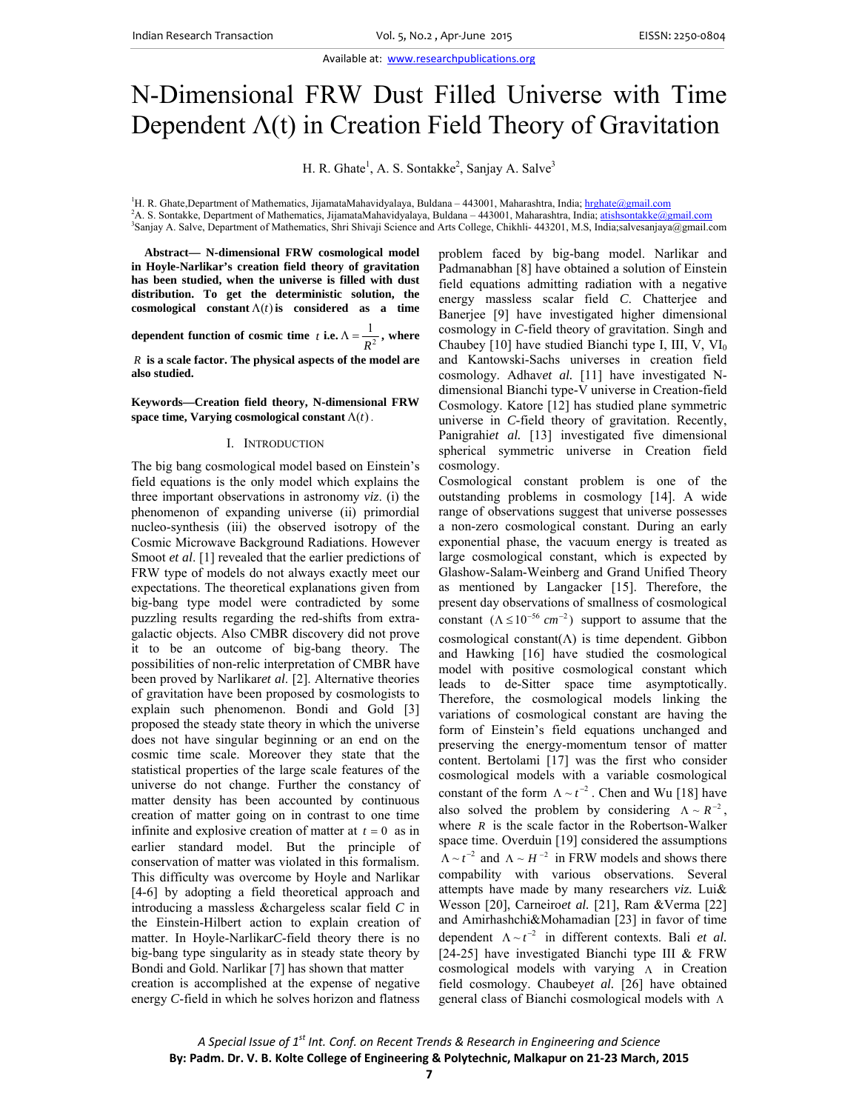Available at: www.researchpublications.org

# N-Dimensional FRW Dust Filled Universe with Time Dependent  $\Lambda(t)$  in Creation Field Theory of Gravitation

H. R. Ghate<sup>1</sup>, A. S. Sontakke<sup>2</sup>, Sanjay A. Salve<sup>3</sup>

<sup>1</sup>H. R. Ghate,Department of Mathematics, JijamataMahavidyalaya, Buldana - 443001, Maharashtra, India; hrghate@gmail.com

<sup>2</sup>A. S. Sontakke, Department of Mathematics, JijamataMahavidyalaya, Buldana – 443001, Maharashtra, India; atishsontakke@gmail.com

<sup>3</sup>Sanjay A. Salve, Department of Mathematics, Shri Shivaji Science and Arts College, Chikhli- 443201, M.S, India;salvesanjaya@gmail.com

**Abstract— N-dimensional FRW cosmological model in Hoyle-Narlikar's creation field theory of gravitation has been studied, when the universe is filled with dust distribution. To get the deterministic solution, the**  cosmological constant  $\Lambda(t)$  is considered as a time

**dependent function of cosmic time** *t* **i.e.**  $\Lambda = \frac{1}{R^2}$  $\Lambda = \frac{1}{R^2}$ , where

*R* **is a scale factor. The physical aspects of the model are also studied.** 

### **Keywords—Creation field theory, N-dimensional FRW**  space time, Varying cosmological constant  $\Lambda(t)$ .

#### I. INTRODUCTION

The big bang cosmological model based on Einstein's field equations is the only model which explains the three important observations in astronomy *viz*. (i) the phenomenon of expanding universe (ii) primordial nucleo-synthesis (iii) the observed isotropy of the Cosmic Microwave Background Radiations. However Smoot *et al.* [1] revealed that the earlier predictions of FRW type of models do not always exactly meet our expectations. The theoretical explanations given from big-bang type model were contradicted by some puzzling results regarding the red-shifts from extragalactic objects. Also CMBR discovery did not prove it to be an outcome of big-bang theory. The possibilities of non-relic interpretation of CMBR have been proved by Narlikar*et al*. [2]. Alternative theories of gravitation have been proposed by cosmologists to explain such phenomenon. Bondi and Gold [3] proposed the steady state theory in which the universe does not have singular beginning or an end on the cosmic time scale. Moreover they state that the statistical properties of the large scale features of the universe do not change. Further the constancy of matter density has been accounted by continuous creation of matter going on in contrast to one time infinite and explosive creation of matter at  $t = 0$  as in earlier standard model. But the principle of conservation of matter was violated in this formalism. This difficulty was overcome by Hoyle and Narlikar [4-6] by adopting a field theoretical approach and introducing a massless &chargeless scalar field *C* in the Einstein-Hilbert action to explain creation of matter. In Hoyle-Narlikar*C*-field theory there is no big-bang type singularity as in steady state theory by Bondi and Gold. Narlikar [7] has shown that matter creation is accomplished at the expense of negative energy *C*-field in which he solves horizon and flatness

problem faced by big-bang model. Narlikar and Padmanabhan [8] have obtained a solution of Einstein field equations admitting radiation with a negative energy massless scalar field *C*. Chatterjee and Banerjee [9] have investigated higher dimensional cosmology in *C*-field theory of gravitation. Singh and Chaubey [10] have studied Bianchi type I, III, V,  $VI_0$ and Kantowski-Sachs universes in creation field cosmology. Adhav*et al.* [11] have investigated Ndimensional Bianchi type-V universe in Creation-field Cosmology. Katore [12] has studied plane symmetric universe in *C*-field theory of gravitation. Recently, Panigrahiet al. [13] investigated five dimensional spherical symmetric universe in Creation field cosmology.

Cosmological constant problem is one of the outstanding problems in cosmology [14]. A wide range of observations suggest that universe possesses a non-zero cosmological constant. During an early exponential phase, the vacuum energy is treated as large cosmological constant, which is expected by Glashow-Salam-Weinberg and Grand Unified Theory as mentioned by Langacker [15]. Therefore, the present day observations of smallness of cosmological constant  $(\Lambda \leq 10^{-56} cm^{-2})$  support to assume that the cosmological constant( $\Lambda$ ) is time dependent. Gibbon and Hawking [16] have studied the cosmological model with positive cosmological constant which leads to de-Sitter space time asymptotically. Therefore, the cosmological models linking the variations of cosmological constant are having the form of Einstein's field equations unchanged and preserving the energy-momentum tensor of matter content. Bertolami [17] was the first who consider cosmological models with a variable cosmological constant of the form  $\Lambda \sim t^{-2}$ . Chen and Wu [18] have also solved the problem by considering  $\Lambda \sim R^{-2}$ , where  $R$  is the scale factor in the Robertson-Walker space time. Overduin [19] considered the assumptions  $\Lambda \sim t^{-2}$  and  $\Lambda \sim H^{-2}$  in FRW models and shows there compability with various observations. Several attempts have made by many researchers *viz.* Lui& Wesson [20], Carneiro*et al.* [21], Ram &Verma [22] and Amirhashchi&Mohamadian [23] in favor of time dependent  $\Lambda \sim t^{-2}$  in different contexts. Bali *et al.* [24-25] have investigated Bianchi type III & FRW cosmological models with varying  $\Lambda$  in Creation field cosmology. Chaubey*et al.* [26] have obtained general class of Bianchi cosmological models with  $\Lambda$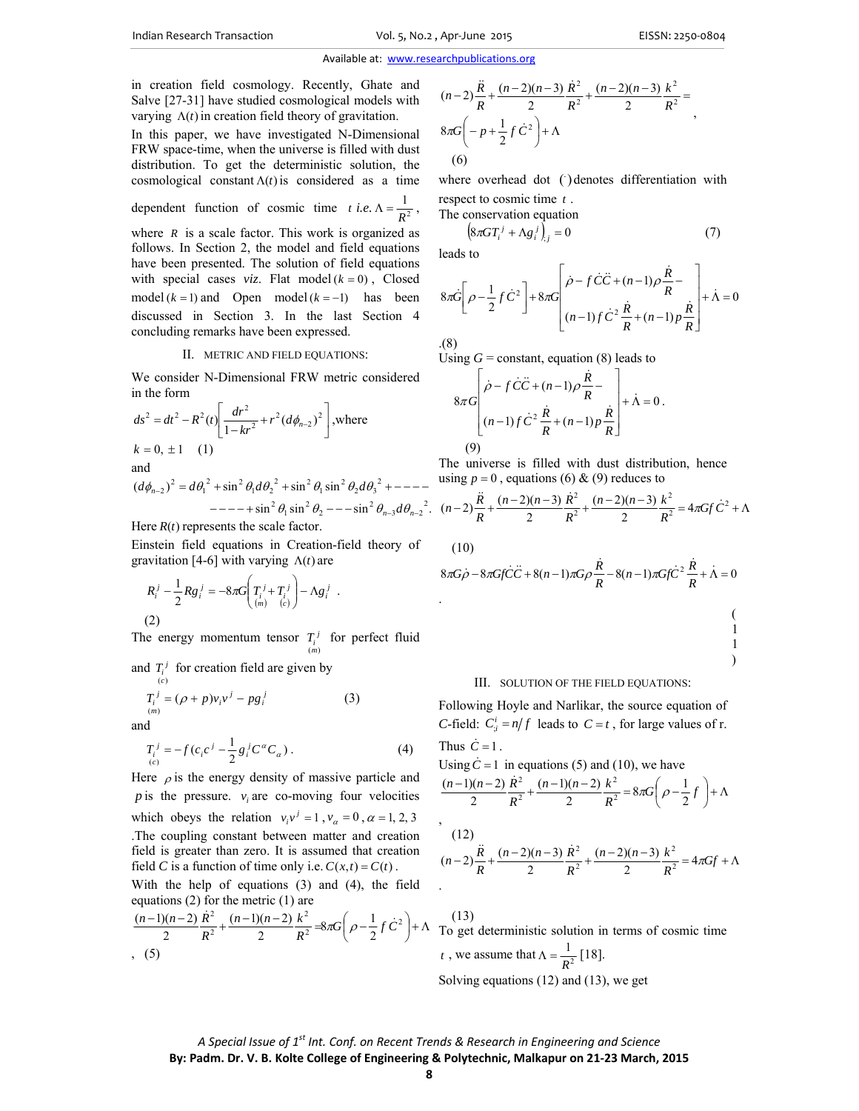in creation field cosmology. Recently, Ghate and Salve [27-31] have studied cosmological models with varying  $\Lambda(t)$  in creation field theory of gravitation.

In this paper, we have investigated N-Dimensional FRW space-time, when the universe is filled with dust distribution. To get the deterministic solution, the cosmological constant  $\Lambda(t)$  is considered as a time

dependent function of cosmic time *t* i.e. 
$$
\Lambda = \frac{1}{R^2}
$$
,

where  $R$  is a scale factor. This work is organized as follows. In Section 2, the model and field equations have been presented. The solution of field equations with special cases *viz*. Flat model  $(k = 0)$ , Closed model  $(k = 1)$  and Open model  $(k = -1)$  has been discussed in Section 3. In the last Section 4 concluding remarks have been expressed.

#### II. METRIC AND FIELD EQUATIONS:

We consider N-Dimensional FRW metric considered in the form

$$
ds^{2} = dt^{2} - R^{2}(t) \left[ \frac{dr^{2}}{1 - kr^{2}} + r^{2} (d\phi_{n-2})^{2} \right], \text{where}
$$
  
\n
$$
k = 0, \pm 1 \quad (1)
$$
  
\nand  
\n
$$
(d\phi_{n-2})^{2} = d\theta_{1}^{2} + \sin^{2} \theta_{1} d\theta_{2}^{2} + \sin^{2} \theta_{1} \sin^{2} \theta_{2} d\theta_{3}^{2} + \cdots
$$

 $-$ --+sin<sup>2</sup>  $\theta_1$ sin<sup>2</sup>  $\theta_2$  ---sin<sup>2</sup>  $\theta_{n-3}d\theta_{n-2}$ <sup>2</sup>. Here  $R(t)$  represents the scale factor.

Einstein field equations in Creation-field theory of gravitation [4-6] with varying  $\Lambda(t)$  are

$$
R_i^j - \frac{1}{2} R g_i^j = -8\pi G \bigg( T_i^j + T_i^j \bigg) - \Lambda g_i^j .
$$

(2)

The energy momentum tensor  $T_i^j$  for perfect fluid (*m*)

and  $T_i^j$  for creation field are given by

$$
T_i^j = (\rho + p)v_i v^j - pg_i^j
$$
 (3)

and

$$
T_i^j = -f(c_i c^j - \frac{1}{2} g_i^j C^\alpha C_\alpha).
$$
 (4)

Here  $\rho$  is the energy density of massive particle and *p* is the pressure.  $v_i$  are co-moving four velocities which obeys the relation  $v_i v^j = 1$ ,  $v_\alpha = 0$ ,  $\alpha = 1, 2, 3$ .The coupling constant between matter and creation field is greater than zero. It is assumed that creation field *C* is a function of time only i.e.  $C(x,t) = C(t)$ .

With the help of equations (3) and (4), the field equations (2) for the metric (1) are

$$
\frac{(n-1)(n-2)}{2}\frac{\dot{R}^2}{R^2} + \frac{(n-1)(n-2)}{2}\frac{k^2}{R^2} = 8\pi G\left(\rho - \frac{1}{2}f\,\dot{C}^2\right) + \Lambda
$$
\n(5)

$$
(n-2)\frac{\ddot{R}}{R} + \frac{(n-2)(n-3)}{2}\frac{\dot{R}^2}{R^2} + \frac{(n-2)(n-3)}{2}\frac{k^2}{R^2} =
$$
  
8 $\pi G\left(-p + \frac{1}{2}f\dot{C}^2\right) + \Lambda$   
(6)

where overhead dot () denotes differentiation with respect to cosmic time *t* .

The conservation equation

$$
\left(8\pi GT_{i}^{j} + \Lambda g_{i}^{j}\right)_{,j} = 0\tag{7}
$$

leads to

$$
8\pi\dot{G}\left[\rho-\frac{1}{2}f\dot{C}^{2}\right]+8\pi G\left[\dot{\rho}-f\dot{C}\ddot{C}+(n-1)\rho\frac{\dot{R}}{R}-\left(\rho-\frac{1}{2}\right)f\dot{C}^{2}\frac{\dot{R}}{R}+(n-1)\rho\frac{\dot{R}}{R}\right]+\dot{\Lambda}=0
$$

.(8)

Using  $G =$  constant, equation (8) leads to

$$
8\pi G\left[\frac{\dot{\rho}-f\dot{C}\ddot{C}+(n-1)\rho\frac{\dot{R}}{R}-}{(n-1)f\dot{C}^2\frac{\dot{R}}{R}+(n-1)p\frac{\dot{R}}{R}}\right]+\dot{\Lambda}=0.
$$
\n(9)

The universe is filled with dust distribution, hence using  $p = 0$ , equations (6) & (9) reduces to

$$
(n-2)\frac{\ddot{R}}{R} + \frac{(n-2)(n-3)}{2}\frac{\dot{R}^2}{R^2} + \frac{(n-2)(n-3)}{2}\frac{k^2}{R^2} = 4\pi G f \dot{C}^2 + \Lambda
$$

(10)

$$
8\pi G\dot{\rho} - 8\pi Gf\dot{C}\ddot{C} + 8(n-1)\pi G\rho\frac{\dot{R}}{R} - 8(n-1)\pi Gf\dot{C}^2\frac{\dot{R}}{R} + \dot{\Lambda} = 0
$$

$$
\begin{array}{c}(\phantom{a}\\\phantom{a}1\\ \phantom{a}1\end{array}
$$

#### III. SOLUTION OF THE FIELD EQUATIONS:

Following Hoyle and Narlikar, the source equation of *C*-field:  $C_i^i = n/f$  leads to  $C = t$ , for large values of r. Thus  $\dot{C} = 1$ .

# Using  $\dot{C} = 1$  in equations (5) and (10), we have

$$
\frac{(n-1)(n-2)}{2}\frac{\dot{R}^2}{R^2} + \frac{(n-1)(n-2)}{2}\frac{k^2}{R^2} = 8\pi G\left(\rho - \frac{1}{2}f\right) + \Lambda
$$
  
,  
(12)  

$$
(n-2)\frac{\ddot{R}}{R} + \frac{(n-2)(n-3)}{2}\frac{\dot{R}^2}{R^2} + \frac{(n-2)(n-3)}{2}\frac{k^2}{R^2} = 4\pi Gf + \Lambda
$$

 (13) To get deterministic solution in terms of cosmic time *t*, we assume that  $\Lambda = \frac{1}{R^2}$  $\Lambda = \frac{1}{R^2} [18].$ Solving equations (12) and (13), we get

*A Special Issue of 1st Int. Conf. on Recent Trends & Research in Engineering and Science* **By: Padm. Dr. V. B. Kolte College of Engineering & Polytechnic, Malkapur on 21‐23 March, 2015**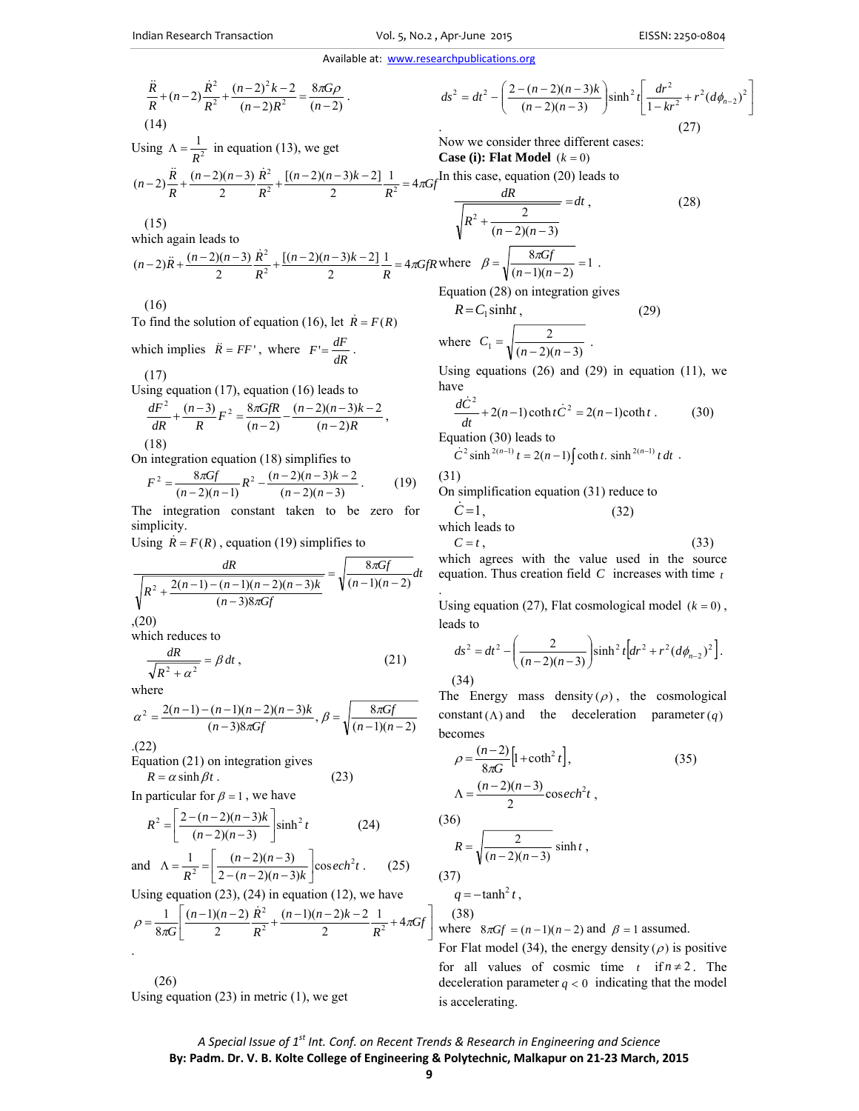Available at: www.researchpublications.org

$$
\frac{\ddot{R}}{R} + (n-2)\frac{\dot{R}^2}{R^2} + \frac{(n-2)^2k - 2}{(n-2)R^2} = \frac{8\pi G\rho}{(n-2)}.
$$
\n(14)

$$
ds^{2} = dt^{2} - \left(\frac{2 - (n-2)(n-3)k}{(n-2)(n-3)}\right) \sinh^{2} t \left[\frac{dr^{2}}{1 - kr^{2}} + r^{2} (d\phi_{n-2})^{2}\right]
$$
  
(27)

*dt*

 $\frac{du}{2} = dt$ , (28)

Now we consider three different cases: **Case (i): Flat Model**  $(k = 0)$ 

In this case, equation (20) leads to

 $\frac{dR}{dx}$  =

 $R^2 + \frac{2}{(n-2)(n-2)}$ 

 $+\frac{2}{(n-2)(n-3)}$ 

 $\Lambda = \frac{1}{R^2}$  in equation (13), we get  $\frac{n-2(n-3)k-2}{2}$   $\frac{1}{R^2}$  = 4 $\pi Gf$ *R*  $(n-2)(n-3)$  *R*  $(n-2)\frac{\ddot{R}}{R} + \frac{(n-2)(n-3)}{2}\frac{\dot{R}^2}{R^2} + \frac{[(n-2)(n-3)k-2]}{2}\frac{1}{R^2} = 4\pi$  $[(n-2)(n-3)k-2]$  $(n-2)\frac{\ddot{R}}{R} + \frac{(n-2)(n-3)}{2}\frac{\dot{R}^2}{R^2} + \frac{[(n-2)(n-3)k-2]}{2}\frac{1}{R^2} =$ 

(15)

Using  $\Lambda = \frac{1}{R^2}$ 

which again leads to

$$
(n-2)\ddot{R} + \frac{(n-2)(n-3)}{2}\frac{\dot{R}^2}{R^2} + \frac{[(n-2)(n-3)k-2]}{2}\frac{1}{R} = 4\pi GfR \text{ where } \beta = \sqrt{\frac{8\pi Gf}{(n-1)(n-1)}}
$$

(16)

To find the solution of equation (16), let  $\dot{R} = F(R)$ 

which implies  $\vec{R} = FF'$ , where  $F' = \frac{dF}{dR}$ . (17)

Using equation (17), equation (16) leads to

$$
\frac{dF^2}{dR} + \frac{(n-3)}{R}F^2 = \frac{8\pi GfR}{(n-2)} - \frac{(n-2)(n-3)k - 2}{(n-2)R},
$$
\n(18)

On integration equation (18) simplifies to

$$
F^{2} = \frac{8\pi Gf}{(n-2)(n-1)}R^{2} - \frac{(n-2)(n-3)k - 2}{(n-2)(n-3)}.
$$
 (19)

The integration constant taken to be zero for simplicity.

Using  $\dot{R} = F(R)$ , equation (19) simplifies to

$$
\frac{dR}{\sqrt{R^2 + \frac{2(n-1) - (n-1)(n-2)(n-3)k}{(n-3)8\pi Gf}}} = \sqrt{\frac{8\pi Gf}{(n-1)(n-2)}} dt
$$
\n(20)

which reduces to

$$
\frac{dR}{\sqrt{R^2 + \alpha^2}} = \beta \, dt \,,\tag{21}
$$

where

$$
\alpha^{2} = \frac{2(n-1)-(n-1)(n-2)(n-3)k}{(n-3)8\pi Gf}, \beta = \sqrt{\frac{8\pi Gf}{(n-1)(n-2)}}
$$

.(22)

.

Equation (21) on integration gives  $R = \alpha \sinh \beta t$  . (23)

In particular for  $\beta = 1$ , we have

$$
R^{2} = \left[ \frac{2 - (n-2)(n-3)k}{(n-2)(n-3)} \right] \sinh^{2} t
$$
 (24)  
\nd  $\Lambda = \frac{1}{n^{2}} = \left[ \frac{(n-2)(n-3)}{2(n-2)(n-3)k} \right] \cscch^{2} t$ . (25)

and 
$$
\Lambda = \frac{1}{R^2} = \left[ \frac{(n-2)(n-3)}{2 - (n-2)(n-3)k} \right] \cos ech^2 t
$$
. (25)

Using equation (23), (24) in equation (12), we have\n
$$
y = \frac{1}{2} \left( \frac{1}{2} \right)^2
$$

$$
\rho = \frac{1}{8\pi G} \left[ \frac{(n-1)(n-2)}{2} \frac{\dot{R}^2}{R^2} + \frac{(n-1)(n-2)k - 2}{2} \frac{1}{R^2} + 4\pi G f \right]
$$

 (26) Using equation  $(23)$  in metric  $(1)$ , we get

where 
$$
\beta = \sqrt{\frac{8\pi Gf}{(n-1)(n-2)}} = 1
$$
.  
Equation (28) on integration gives  
 $R = C_1 \sinh t$ , (29)

where 
$$
C_1 = \sqrt{\frac{2}{(n-2)(n-3)}}
$$
.

Using equations  $(26)$  and  $(29)$  in equation  $(11)$ , we have

$$
\frac{d\dot{C}^2}{dt} + 2(n-1)\coth t \dot{C}^2 = 2(n-1)\coth t \ . \tag{30}
$$

Equation (30) leads to

$$
\dot{C}^2 \sinh^{2(n-1)} t = 2(n-1) \int \coth t \cdot \sinh^{2(n-1)} t \, dt \; .
$$

(31)

On simplification equation (31) reduce to

$$
\dot{C} = 1, \qquad (32)
$$
\nwhich leads to

\n
$$
C = t, \qquad (33)
$$

which agrees with the value used in the source equation. Thus creation field *C* increases with time *t* .

Using equation (27), Flat cosmological model  $(k = 0)$ , leads to

$$
ds^{2} = dt^{2} - \left(\frac{2}{(n-2)(n-3)}\right) \sinh^{2} t \left[ dr^{2} + r^{2} (d\phi_{n-2})^{2} \right].
$$
\n(34)

The Energy mass density  $(\rho)$ , the cosmological constant ( $\Lambda$ ) and the deceleration parameter (*q*) becomes

$$
\rho = \frac{(n-2)}{8\pi G} \left[ 1 + \coth^2 t \right],\tag{35}
$$
\n
$$
\Lambda = \frac{(n-2)(n-3)}{2} \csc h^2 t,
$$
\n
$$
\frac{(36)}{R} = \sqrt{\frac{2}{(n-2)(n-3)}} \sinh t,
$$

(37)  $q = -\tanh^2 t$ ,

 (38) where  $8\pi Gf = (n-1)(n-2)$  and  $\beta = 1$  assumed. For Flat model (34), the energy density ( $\rho$ ) is positive for all values of cosmic time  $t$  if  $n \neq 2$ . The deceleration parameter  $q < 0$  indicating that the model is accelerating.

 $\overline{\phantom{a}}$ J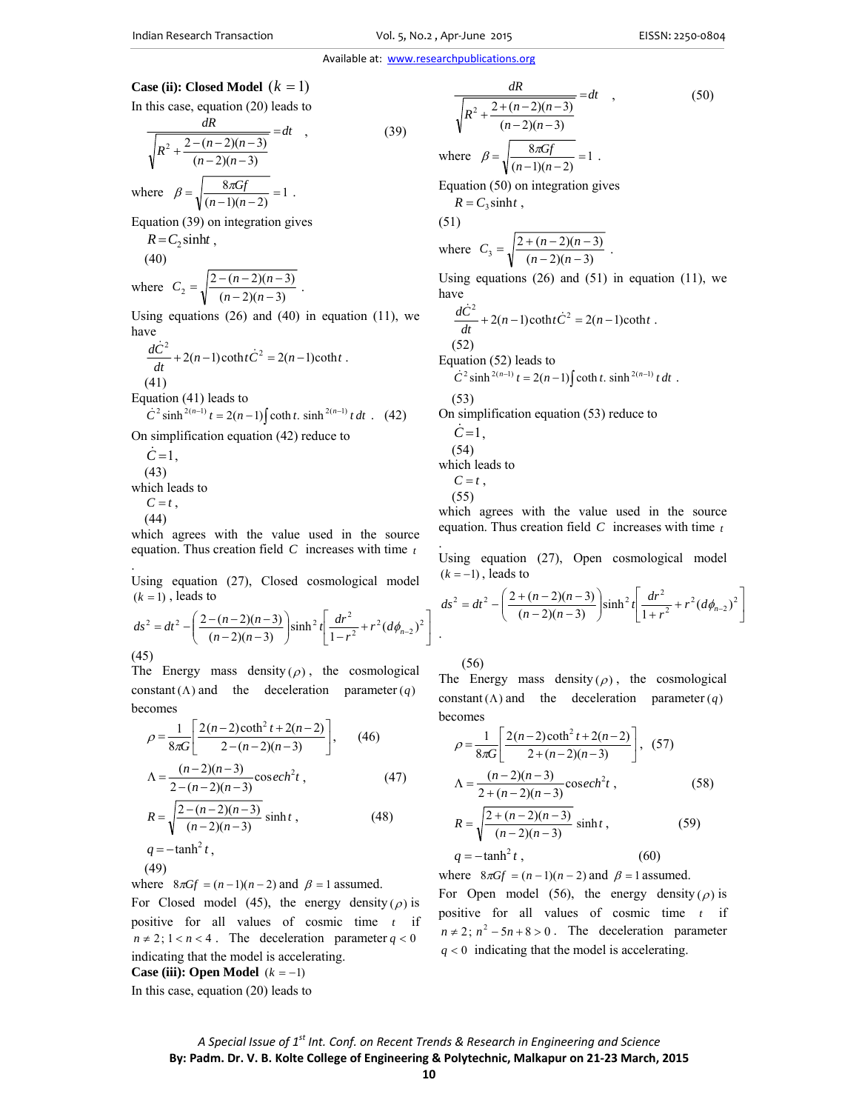#### Available at: www.researchpublications.org

# **Case (ii): Closed Model**  $(k = 1)$

In this case, equation (20) leads to

$$
\frac{dR}{\sqrt{R^2 + \frac{2 - (n-2)(n-3)}{(n-2)(n-3)}}} = dt \quad , \tag{39}
$$

where  $\beta = \sqrt{\frac{8\pi Gf}{(n-1)(n-2)}} = 1$ . Equation (39) on integration gives

$$
R = C_2 \sinh t ,
$$
  
(40)

where 
$$
C_2 = \sqrt{\frac{2 - (n-2)(n-3)}{(n-2)(n-3)}}
$$
.

Using equations  $(26)$  and  $(40)$  in equation  $(11)$ , we have

$$
\frac{d\dot{C}^2}{dt} + 2(n-1)\coth t \dot{C}^2 = 2(n-1)\coth t
$$
. (41)

Equation (41) leads to

$$
\dot{C}^2 \sinh^{2(n-1)} t = 2(n-1) \int \coth t \cdot \sinh^{2(n-1)} t \, dt \quad (42)
$$

On simplification equation (42) reduce to

$$
\dot{C}=1,
$$

 (43) which leads to

 $C = t$ ,

(44)

which agrees with the value used in the source equation. Thus creation field *C* increases with time *t*

. Using equation (27), Closed cosmological model  $(k = 1)$ , leads to

$$
ds^{2} = dt^{2} - \left(\frac{2 - (n - 2)(n - 3)}{(n - 2)(n - 3)}\right) \sinh^{2} t \left[\frac{dr^{2}}{1 - r^{2}} + r^{2} (d\phi_{n-2})^{2}\right]
$$
\n(45)

The Energy mass density  $(\rho)$ , the cosmological constant ( $\Lambda$ ) and the deceleration parameter (q) becomes

$$
\rho = \frac{1}{8\pi G} \left[ \frac{2(n-2)\coth^2 t + 2(n-2)}{2 - (n-2)(n-3)} \right], \quad (46)
$$
  

$$
\Lambda = \frac{(n-2)(n-3)}{2 - (n-2)(n-3)} \cscch^2 t, \quad (47)
$$
  

$$
R = \sqrt{\frac{2 - (n-2)(n-3)}{(n-2)(n-3)}} \sinh t, \quad (48)
$$
  

$$
q = -\tanh^2 t,
$$

$$
(49)
$$

where  $8\pi Gf = (n-1)(n-2)$  and  $\beta = 1$  assumed.

For Closed model (45), the energy density ( $\rho$ ) is positive for all values of cosmic time *t* if  $n \neq 2$ ;  $1 < n < 4$ . The deceleration parameter  $q < 0$ indicating that the model is accelerating.

**Case (iii): Open Model**  $(k = -1)$ 

In this case, equation (20) leads to

$$
\frac{dR}{\sqrt{R^2 + \frac{2 + (n-2)(n-3)}{(n-2)(n-3)}}} = dt
$$
\n
$$
\text{where } \beta = \sqrt{\frac{8\pi Gf}{(n-1)(n-2)}} = 1.
$$
\nEquation (50) on integration gives\n
$$
R = C_3 \sinh t,
$$
\n(51)

$$
\text{where } C_3 = \sqrt{\frac{2 + (n - 2)(n - 3)}{(n - 2)(n - 3)}} \text{ .}
$$

Using equations  $(26)$  and  $(51)$  in equation  $(11)$ , we have

$$
\frac{d\dot{C}^2}{dt} + 2(n-1)\coth t \dot{C}^2 = 2(n-1)\coth t \; .
$$
\n(52)

Equation (52) leads to

$$
\dot{C}^2 \sinh^{2(n-1)} t = 2(n-1) \int \coth t \cdot \sinh^{2(n-1)} t \, dt \; .
$$

(53)

On simplification equation (53) reduce to

 $C = 1$ , (54) which leads to

$$
C=t,
$$

(55)

which agrees with the value used in the source equation. Thus creation field *C* increases with time *t* .

Using equation (27), Open cosmological model  $(k = -1)$ , leads to

$$
ds^{2} = dt^{2} - \left(\frac{2 + (n - 2)(n - 3)}{(n - 2)(n - 3)}\right) \sinh^{2} t \left[\frac{dr^{2}}{1 + r^{2}} + r^{2} (d\phi_{n-2})^{2}\right]
$$

(56)

The Energy mass density  $(\rho)$ , the cosmological constant  $(\Lambda)$  and the deceleration parameter  $(q)$ becomes

$$
\rho = \frac{1}{8\pi G} \left[ \frac{2(n-2)\coth^2 t + 2(n-2)}{2 + (n-2)(n-3)} \right], (57)
$$
  
\n
$$
\Lambda = \frac{(n-2)(n-3)}{2 + (n-2)(n-3)} \cosech^2 t, (58)
$$
  
\n
$$
R = \sqrt{\frac{2 + (n-2)(n-3)}{(n-2)(n-3)}} \sinh t, (59)
$$
  
\n
$$
q = -\tanh^2 t, (60)
$$

where  $8\pi Gf = (n-1)(n-2)$  and  $\beta = 1$  assumed.

For Open model (56), the energy density ( $\rho$ ) is positive for all values of cosmic time *t* if  $n \neq 2$ ;  $n^2 - 5n + 8 > 0$ . The deceleration parameter  $q < 0$  indicating that the model is accelerating.